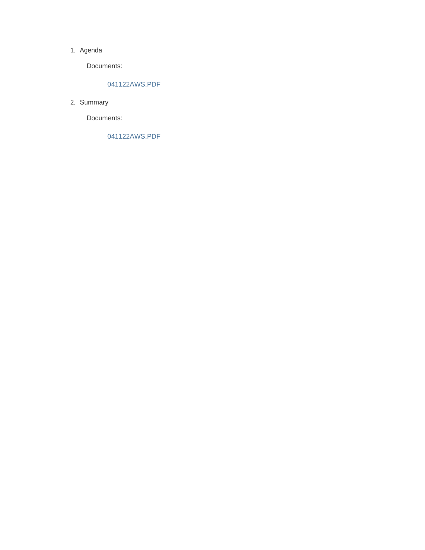#### 1. Agenda

Documents:

### 041122AWS.PDF

2. Summary

Documents:

041122AWS.PDF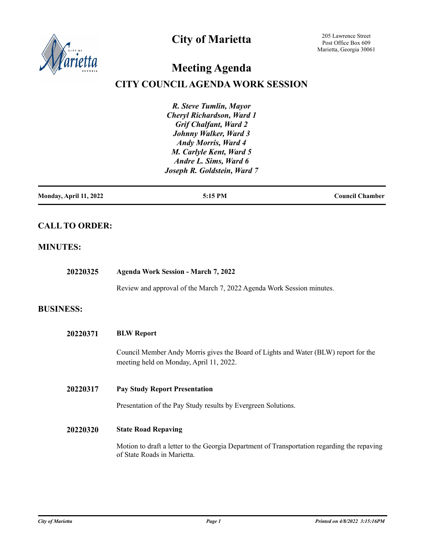

## **City of Marietta**

205 Lawrence Street Post Office Box 609 Marietta, Georgia 30061

# **Meeting Agenda**

## **CITY COUNCIL AGENDA WORK SESSION**

*R. Steve Tumlin, Mayor Cheryl Richardson, Ward 1 Grif Chalfant, Ward 2 Johnny Walker, Ward 3 Andy Morris, Ward 4 M. Carlyle Kent, Ward 5 Andre L. Sims, Ward 6 Joseph R. Goldstein, Ward 7*

| Monday, April 11, 2022 | 5:15 PM | <b>Council Chamber</b> |
|------------------------|---------|------------------------|
|                        |         |                        |

## **CALL TO ORDER:**

### **MINUTES:**

| 20220325         | <b>Agenda Work Session - March 7, 2022</b>                                                                                     |
|------------------|--------------------------------------------------------------------------------------------------------------------------------|
|                  | Review and approval of the March 7, 2022 Agenda Work Session minutes.                                                          |
| <b>BUSINESS:</b> |                                                                                                                                |
| 20220371         | <b>BLW Report</b>                                                                                                              |
|                  | Council Member Andy Morris gives the Board of Lights and Water (BLW) report for the<br>meeting held on Monday, April 11, 2022. |
| 20220317         | <b>Pay Study Report Presentation</b>                                                                                           |
|                  | Presentation of the Pay Study results by Evergreen Solutions.                                                                  |
| 20220320         | <b>State Road Repaving</b>                                                                                                     |
|                  | Motion to draft a letter to the Georgia Department of Transportation regarding the repaving<br>of State Roads in Marietta.     |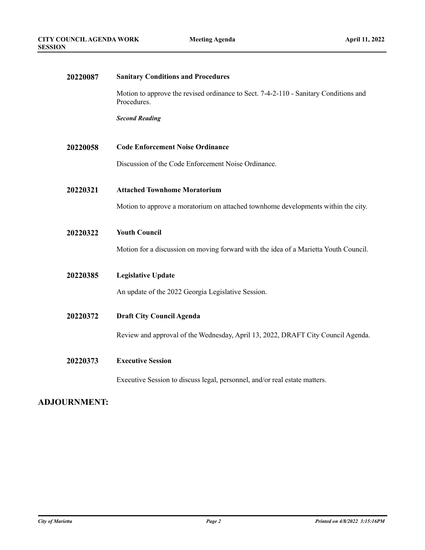| 20220087 | <b>Sanitary Conditions and Procedures</b>                                                           |
|----------|-----------------------------------------------------------------------------------------------------|
|          | Motion to approve the revised ordinance to Sect. 7-4-2-110 - Sanitary Conditions and<br>Procedures. |
|          | <b>Second Reading</b>                                                                               |
| 20220058 | <b>Code Enforcement Noise Ordinance</b>                                                             |
|          | Discussion of the Code Enforcement Noise Ordinance.                                                 |
| 20220321 | <b>Attached Townhome Moratorium</b>                                                                 |
|          | Motion to approve a moratorium on attached townhome developments within the city.                   |
| 20220322 | <b>Youth Council</b>                                                                                |
|          | Motion for a discussion on moving forward with the idea of a Marietta Youth Council.                |
| 20220385 | <b>Legislative Update</b>                                                                           |
|          | An update of the 2022 Georgia Legislative Session.                                                  |
| 20220372 | <b>Draft City Council Agenda</b>                                                                    |
|          | Review and approval of the Wednesday, April 13, 2022, DRAFT City Council Agenda.                    |
| 20220373 | <b>Executive Session</b>                                                                            |
|          | Executive Session to discuss legal, personnel, and/or real estate matters.                          |

#### **ADJOURNMENT:**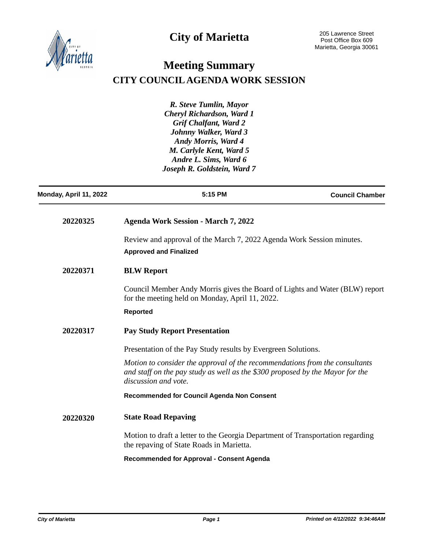



## **Meeting Summary CITY COUNCIL AGENDA WORK SESSION**

*R. Steve Tumlin, Mayor Cheryl Richardson, Ward 1 Grif Chalfant, Ward 2 Johnny Walker, Ward 3 Andy Morris, Ward 4 M. Carlyle Kent, Ward 5 Andre L. Sims, Ward 6 Joseph R. Goldstein, Ward 7*

| Monday, April 11, 2022 | 5:15 PM                                                                                                                                                                              | <b>Council Chamber</b> |
|------------------------|--------------------------------------------------------------------------------------------------------------------------------------------------------------------------------------|------------------------|
| 20220325               | <b>Agenda Work Session - March 7, 2022</b>                                                                                                                                           |                        |
|                        | Review and approval of the March 7, 2022 Agenda Work Session minutes.<br><b>Approved and Finalized</b>                                                                               |                        |
| 20220371               | <b>BLW Report</b>                                                                                                                                                                    |                        |
|                        | Council Member Andy Morris gives the Board of Lights and Water (BLW) report<br>for the meeting held on Monday, April 11, 2022.                                                       |                        |
|                        | <b>Reported</b>                                                                                                                                                                      |                        |
| 20220317               | <b>Pay Study Report Presentation</b>                                                                                                                                                 |                        |
|                        | Presentation of the Pay Study results by Evergreen Solutions.                                                                                                                        |                        |
|                        | Motion to consider the approval of the recommendations from the consultants<br>and staff on the pay study as well as the \$300 proposed by the Mayor for the<br>discussion and vote. |                        |
|                        | <b>Recommended for Council Agenda Non Consent</b>                                                                                                                                    |                        |
| 20220320               | <b>State Road Repaving</b>                                                                                                                                                           |                        |
|                        | Motion to draft a letter to the Georgia Department of Transportation regarding<br>the repaving of State Roads in Marietta.                                                           |                        |
|                        | <b>Recommended for Approval - Consent Agenda</b>                                                                                                                                     |                        |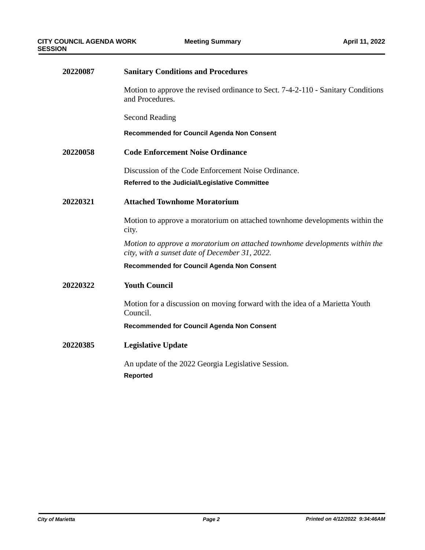| 20220087 | <b>Sanitary Conditions and Procedures</b>                                                                                     |
|----------|-------------------------------------------------------------------------------------------------------------------------------|
|          | Motion to approve the revised ordinance to Sect. 7-4-2-110 - Sanitary Conditions<br>and Procedures.                           |
|          | <b>Second Reading</b>                                                                                                         |
|          | <b>Recommended for Council Agenda Non Consent</b>                                                                             |
| 20220058 | <b>Code Enforcement Noise Ordinance</b>                                                                                       |
|          | Discussion of the Code Enforcement Noise Ordinance.                                                                           |
|          | Referred to the Judicial/Legislative Committee                                                                                |
| 20220321 | <b>Attached Townhome Moratorium</b>                                                                                           |
|          | Motion to approve a moratorium on attached townhome developments within the<br>city.                                          |
|          | Motion to approve a moratorium on attached townhome developments within the<br>city, with a sunset date of December 31, 2022. |
|          | Recommended for Council Agenda Non Consent                                                                                    |
| 20220322 | <b>Youth Council</b>                                                                                                          |
|          | Motion for a discussion on moving forward with the idea of a Marietta Youth<br>Council.                                       |
|          | Recommended for Council Agenda Non Consent                                                                                    |
| 20220385 | <b>Legislative Update</b>                                                                                                     |
|          | An update of the 2022 Georgia Legislative Session.                                                                            |
|          | <b>Reported</b>                                                                                                               |